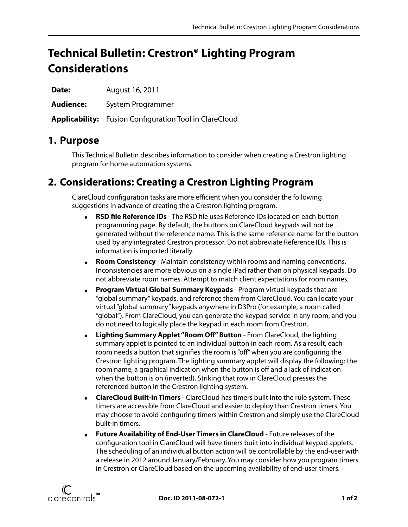# **Technical Bulletin: Crestron® Lighting Program Considerations**

**Date:** August 16, 2011

**Audience:** System Programmer

**Applicability:** Fusion Configuration Tool in ClareCloud

### **1. Purpose**

This Technical Bulletin describes information to consider when creating a Crestron lighting program for home automation systems.

## **2. Considerations: Creating a Crestron Lighting Program**

ClareCloud configuration tasks are more efficient when you consider the following suggestions in advance of creating the a Crestron lighting program.

- **RSD file Reference IDs** The RSD file uses Reference IDs located on each button programming page. By default, the buttons on ClareCloud keypads will not be generated without the reference name. This is the same reference name for the button used by any integrated Crestron processor. Do not abbreviate Reference IDs. This is information is imported literally.
- **Room Consistency** Maintain consistency within rooms and naming conventions. Inconsistencies are more obvious on a single iPad rather than on physical keypads. Do not abbreviate room names. Attempt to match client expectations for room names.
- **Program Virtual Global Summary Keypads** Program virtual keypads that are "global summary" keypads, and reference them from ClareCloud. You can locate your virtual "global summary" keypads anywhere in D3Pro (for example, a room called "global"). From ClareCloud, you can generate the keypad service in any room, and you do not need to logically place the keypad in each room from Crestron.
- **Lighting Summary Applet "Room Off" Button** From ClareCloud, the lighting summary applet is pointed to an individual button in each room. As a result, each room needs a button that signifies the room is "off" when you are configuring the Crestron lighting program. The lighting summary applet will display the following: the room name, a graphical indication when the button is off and a lack of indication when the button is on (inverted). Striking that row in ClareCloud presses the referenced button in the Crestron lighting system.
- **ClareCloud Built-in Timers** ClareCloud has timers built into the rule system. These timers are accessible from ClareCloud and easier to deploy than Crestron timers. You may choose to avoid configuring timers within Crestron and simply use the ClareCloud built-in timers.
- **Future Availability of End-User Timers in ClareCloud** Future releases of the configuration tool in ClareCloud will have timers built into individual keypad applets. The scheduling of an individual button action will be controllable by the end-user with a release in 2012 around January/February. You may consider how you program timers in Crestron or ClareCloud based on the upcoming availability of end-user timers.